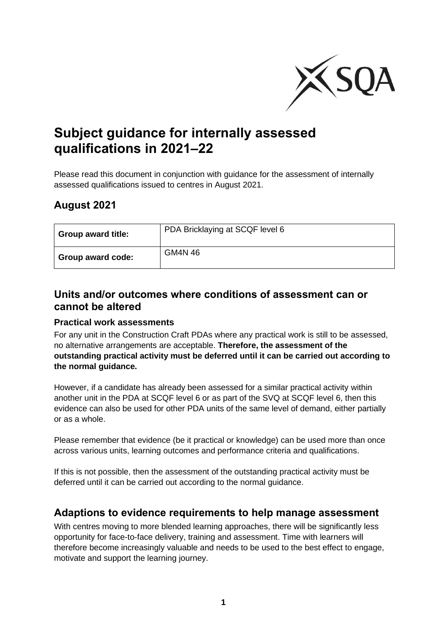

# **Subject guidance for internally assessed qualifications in 2021–22**

Please read this document in conjunction with guidance for the assessment of internally assessed qualifications issued to centres in August 2021.

## **August 2021**

| <b>Group award title:</b> | PDA Bricklaying at SCQF level 6 |
|---------------------------|---------------------------------|
| Group award code:         | GM4N 46                         |

## **Units and/or outcomes where conditions of assessment can or cannot be altered**

#### **Practical work assessments**

For any unit in the Construction Craft PDAs where any practical work is still to be assessed, no alternative arrangements are acceptable. **Therefore, the assessment of the outstanding practical activity must be deferred until it can be carried out according to the normal guidance.**

However, if a candidate has already been assessed for a similar practical activity within another unit in the PDA at SCQF level 6 or as part of the SVQ at SCQF level 6, then this evidence can also be used for other PDA units of the same level of demand, either partially or as a whole.

Please remember that evidence (be it practical or knowledge) can be used more than once across various units, learning outcomes and performance criteria and qualifications.

If this is not possible, then the assessment of the outstanding practical activity must be deferred until it can be carried out according to the normal guidance.

## **Adaptions to evidence requirements to help manage assessment**

With centres moving to more blended learning approaches, there will be significantly less opportunity for face-to-face delivery, training and assessment. Time with learners will therefore become increasingly valuable and needs to be used to the best effect to engage, motivate and support the learning journey.